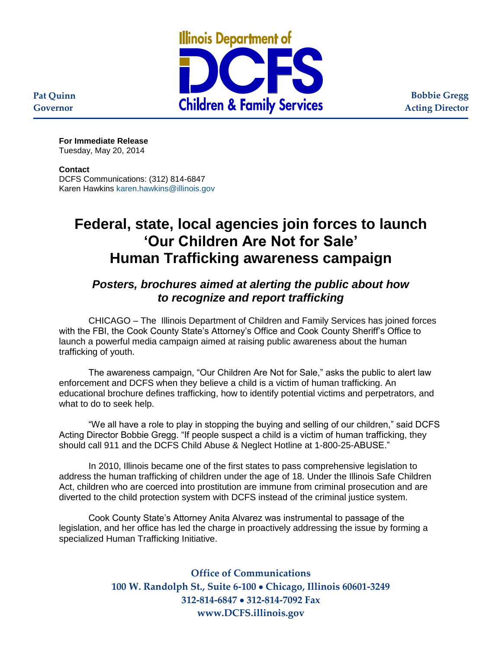

**Bobbie Gregg Acting Director**

**For Immediate Release** Tuesday, May 20, 2014

## **Contact**

**Pat Quinn Governor**

> DCFS Communications: (312) 814-6847 Karen Hawkins [karen.hawkins@illinois.gov](mailto:karen.hawkins@illinois.gov)

## **Federal, state, local agencies join forces to launch 'Our Children Are Not for Sale' Human Trafficking awareness campaign**

## *Posters, brochures aimed at alerting the public about how to recognize and report trafficking*

CHICAGO – The Illinois Department of Children and Family Services has joined forces with the FBI, the Cook County State's Attorney's Office and Cook County Sheriff's Office to launch a powerful media campaign aimed at raising public awareness about the human trafficking of youth.

The awareness campaign, "Our Children Are Not for Sale," asks the public to alert law enforcement and DCFS when they believe a child is a victim of human trafficking. An educational brochure defines trafficking, how to identify potential victims and perpetrators, and what to do to seek help.

"We all have a role to play in stopping the buying and selling of our children," said DCFS Acting Director Bobbie Gregg. "If people suspect a child is a victim of human trafficking, they should call 911 and the DCFS Child Abuse & Neglect Hotline at 1-800-25-ABUSE."

In 2010, Illinois became one of the first states to pass comprehensive legislation to address the human trafficking of children under the age of 18. Under the Illinois Safe Children Act, children who are coerced into prostitution are immune from criminal prosecution and are diverted to the child protection system with DCFS instead of the criminal justice system.

Cook County State's Attorney Anita Alvarez was instrumental to passage of the legislation, and her office has led the charge in proactively addressing the issue by forming a specialized Human Trafficking Initiative.

> **Office of Communications 100 W. Randolph St., Suite 6-100 Chicago, Illinois 60601-3249 312-814-6847 312-814-7092 Fax www.DCFS.illinois.gov**